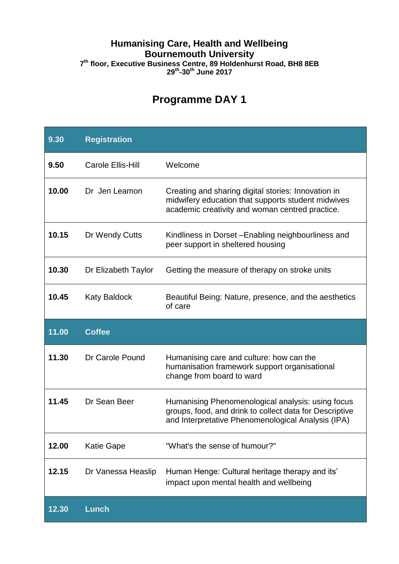## **Humanising Care, Health and Wellbeing Bournemouth University 7 th floor, Executive Business Centre, 89 Holdenhurst Road, BH8 8EB 29 th -30th June 2017**

## **Programme DAY 1**

| 9.30  | <b>Registration</b>      |                                                                                                                                                                    |
|-------|--------------------------|--------------------------------------------------------------------------------------------------------------------------------------------------------------------|
| 9.50  | <b>Carole Ellis-Hill</b> | Welcome                                                                                                                                                            |
| 10.00 | Dr Jen Leamon            | Creating and sharing digital stories: Innovation in<br>midwifery education that supports student midwives<br>academic creativity and woman centred practice.       |
| 10.15 | Dr Wendy Cutts           | Kindliness in Dorset - Enabling neighbourliness and<br>peer support in sheltered housing                                                                           |
| 10.30 | Dr Elizabeth Taylor      | Getting the measure of therapy on stroke units                                                                                                                     |
| 10.45 | <b>Katy Baldock</b>      | Beautiful Being: Nature, presence, and the aesthetics<br>of care                                                                                                   |
|       |                          |                                                                                                                                                                    |
| 11.00 | <b>Coffee</b>            |                                                                                                                                                                    |
| 11.30 | Dr Carole Pound          | Humanising care and culture: how can the<br>humanisation framework support organisational<br>change from board to ward                                             |
| 11.45 | Dr Sean Beer             | Humanising Phenomenological analysis: using focus<br>groups, food, and drink to collect data for Descriptive<br>and Interpretative Phenomenological Analysis (IPA) |
| 12.00 | <b>Katie Gape</b>        | "What's the sense of humour?"                                                                                                                                      |
| 12.15 | Dr Vanessa Heaslip       | Human Henge: Cultural heritage therapy and its'<br>impact upon mental health and wellbeing                                                                         |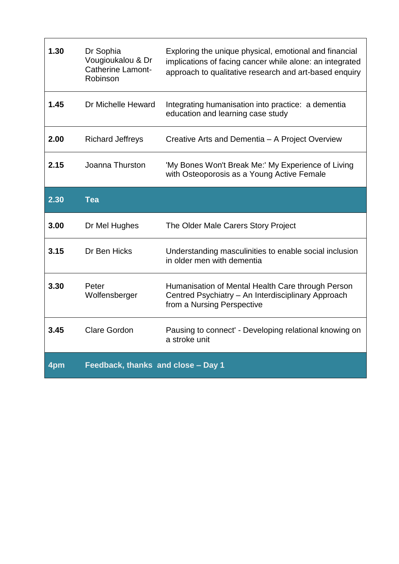| 1.30 | Dr Sophia<br>Vougioukalou & Dr<br><b>Catherine Lamont-</b><br>Robinson | Exploring the unique physical, emotional and financial<br>implications of facing cancer while alone: an integrated<br>approach to qualitative research and art-based enquiry |
|------|------------------------------------------------------------------------|------------------------------------------------------------------------------------------------------------------------------------------------------------------------------|
| 1.45 | Dr Michelle Heward                                                     | Integrating humanisation into practice: a dementia<br>education and learning case study                                                                                      |
| 2.00 | <b>Richard Jeffreys</b>                                                | Creative Arts and Dementia - A Project Overview                                                                                                                              |
| 2.15 | Joanna Thurston                                                        | 'My Bones Won't Break Me:' My Experience of Living<br>with Osteoporosis as a Young Active Female                                                                             |
| 2.30 | <b>Tea</b>                                                             |                                                                                                                                                                              |
|      |                                                                        |                                                                                                                                                                              |
| 3.00 | Dr Mel Hughes                                                          | The Older Male Carers Story Project                                                                                                                                          |
| 3.15 | Dr Ben Hicks                                                           | Understanding masculinities to enable social inclusion<br>in older men with dementia                                                                                         |
| 3.30 | Peter<br>Wolfensberger                                                 | Humanisation of Mental Health Care through Person<br>Centred Psychiatry - An Interdisciplinary Approach<br>from a Nursing Perspective                                        |
| 3.45 | <b>Clare Gordon</b>                                                    | Pausing to connect' - Developing relational knowing on<br>a stroke unit                                                                                                      |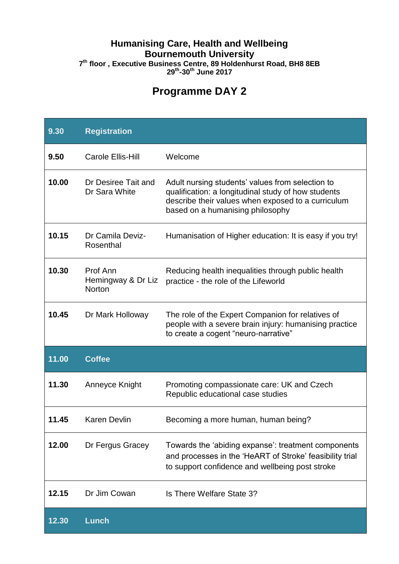## **Humanising Care, Health and Wellbeing Bournemouth University 7 th floor , Executive Business Centre, 89 Holdenhurst Road, BH8 8EB 29th -30th June 2017**

## **Programme DAY 2**

| 9.30  | <b>Registration</b>                      |                                                                                                                                                                                                   |
|-------|------------------------------------------|---------------------------------------------------------------------------------------------------------------------------------------------------------------------------------------------------|
| 9.50  | <b>Carole Ellis-Hill</b>                 | Welcome                                                                                                                                                                                           |
| 10.00 | Dr Desiree Tait and<br>Dr Sara White     | Adult nursing students' values from selection to<br>qualification: a longitudinal study of how students<br>describe their values when exposed to a curriculum<br>based on a humanising philosophy |
| 10.15 | Dr Camila Deviz-<br>Rosenthal            | Humanisation of Higher education: It is easy if you try!                                                                                                                                          |
| 10.30 | Prof Ann<br>Hemingway & Dr Liz<br>Norton | Reducing health inequalities through public health<br>practice - the role of the Lifeworld                                                                                                        |
| 10.45 | Dr Mark Holloway                         | The role of the Expert Companion for relatives of<br>people with a severe brain injury: humanising practice<br>to create a cogent "neuro-narrative"                                               |
| 11.00 | <b>Coffee</b>                            |                                                                                                                                                                                                   |
| 11.30 | Anneyce Knight                           | Promoting compassionate care: UK and Czech<br>Republic educational case studies                                                                                                                   |
| 11.45 | <b>Karen Devlin</b>                      | Becoming a more human, human being?                                                                                                                                                               |
| 12.00 | Dr Fergus Gracey                         | Towards the 'abiding expanse': treatment components<br>and processes in the 'HeART of Stroke' feasibility trial<br>to support confidence and wellbeing post stroke                                |
| 12.15 | Dr Jim Cowan                             | Is There Welfare State 3?                                                                                                                                                                         |
| 12.30 | <b>Lunch</b>                             |                                                                                                                                                                                                   |